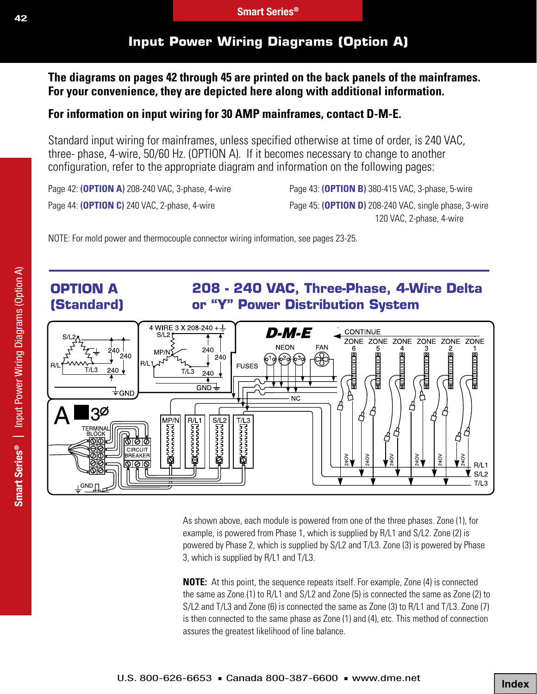# **Input Power Wiring Diagrams (Option A)**

**The diagrams on pages 42 through 45 are printed on the back panels of the mainframes. For your convenience, they are depicted here along with additional information.**

#### **For information on input wiring for 30 AMP mainframes, contact D-M-E.**

Standard input wiring for mainframes, unless specified otherwise at time of order, is 240 VAC, three- phase, 4-wire, 50/60 Hz. (OPTION A). If it becomes necessary to change to another configuration, refer to the appropriate diagram and information on the following pages:

Page 42: **(OPTION A)** 208-240 VAC, 3-phase, 4-wire Page 43: **(OPTION B)** 380-415 VAC, 3-phase, 5-wire

Page 44: **(OPTION C)** 240 VAC, 2-phase, 4-wire Page 45: **(OPTION D)** 208-240 VAC, single phase, 3-wire 120 VAC, 2-phase, 4-wire

NOTE: For mold power and thermocouple connector wiring information, see pages 23-25.



As shown above, each module is powered from one of the three phases. Zone (1), for example, is powered from Phase 1, which is supplied by R/L1 and S/L2. Zone (2) is powered by Phase 2, which is supplied by S/L2 and T/L3. Zone (3) is powered by Phase 3, which is supplied by R/L1 and T/L3.

**NOTE:** At this point, the sequence repeats itself. For example, Zone (4) is connected the same as Zone (1) to R/L1 and S/L2 and Zone (5) is connected the same as Zone (2) to S/L2 and T/L3 and Zone (6) is connected the same as Zone (3) to R/L1 and T/L3. Zone (7) is then connected to the same phase as Zone (1) and (4), etc. This method of connection assures the greatest likelihood of line balance.

**Index**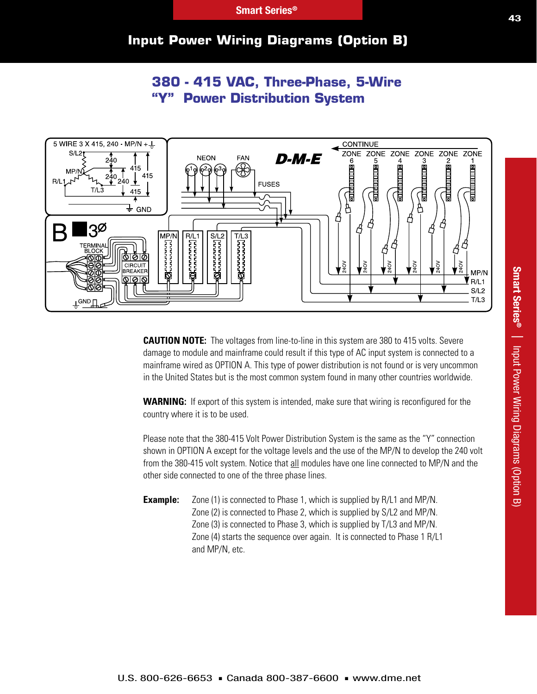#### **Input Power Wiring Diagrams (Option B)**

# **380 - 415 VAC, Three-Phase, 5-Wire Power Distribution System**



**CAUTION NOTE:** The voltages from line-to-line in this system are 380 to 415 volts. Severe damage to module and mainframe could result if this type of AC input system is connected to a mainframe wired as OPTION A. This type of power distribution is not found or is very uncommon in the United States but is the most common system found in many other countries worldwide.

**WARNING:** If export of this system is intended, make sure that wiring is reconfigured for the country where it is to be used.

Please note that the 380-415 Volt Power Distribution System is the same as the "Y" connection shown in OPTION A except for the voltage levels and the use of the MP/N to develop the 240 volt from the 380-415 volt system. Notice that all modules have one line connected to MP/N and the other side connected to one of the three phase lines.

**Example:** Zone (1) is connected to Phase 1, which is supplied by R/L1 and MP/N. Zone (2) is connected to Phase 2, which is supplied by S/L2 and MP/N. Zone (3) is connected to Phase 3, which is supplied by T/L3 and MP/N. Zone (4) starts the sequence over again. It is connected to Phase 1 R/L1 and MP/N, etc.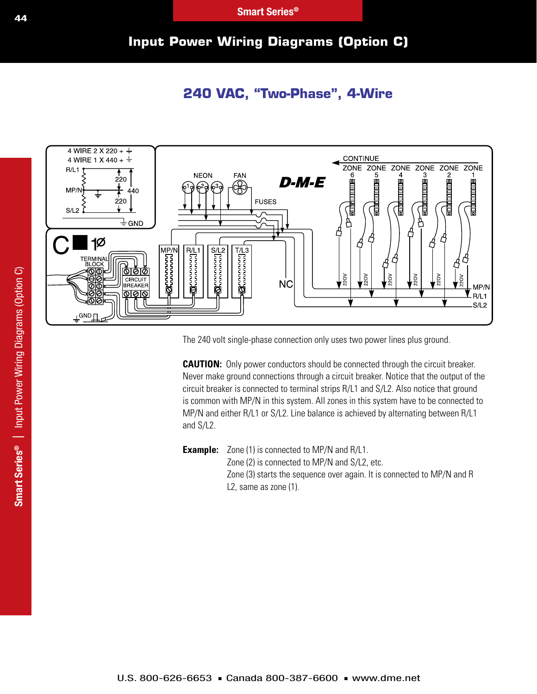## **Input Power Wiring Diagrams (Option C)**

#### **240 VAC, "Two-Phase", 4-Wire**



The 240 volt single-phase connection only uses two power lines plus ground.

**CAUTION:** Only power conductors should be connected through the circuit breaker. Never make ground connections through a circuit breaker. Notice that the output of the circuit breaker is connected to terminal strips R/L1 and S/L2. Also notice that ground is common with MP/N in this system. All zones in this system have to be connected to MP/N and either R/L1 or S/L2. Line balance is achieved by alternating between R/L1 and S/L2.

**Example:** Zone (1) is connected to MP/N and R/L1. Zone (2) is connected to MP/N and S/L2, etc. Zone (3) starts the sequence over again. It is connected to MP/N and R L2, same as zone (1).